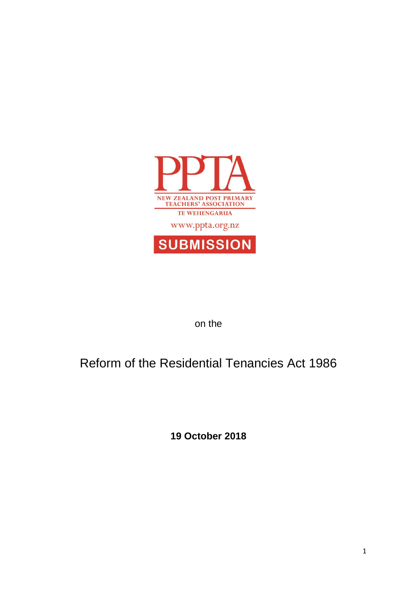

on the

# Reform of the Residential Tenancies Act 1986

**19 October 2018**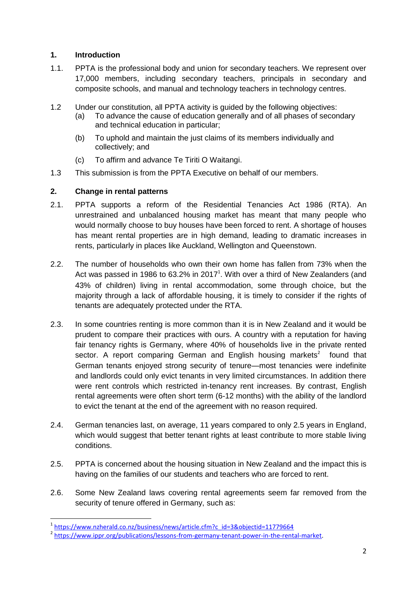## **1. Introduction**

- 1.1. PPTA is the professional body and union for secondary teachers. We represent over 17,000 members, including secondary teachers, principals in secondary and composite schools, and manual and technology teachers in technology centres.
- 1.2 Under our constitution, all PPTA activity is guided by the following objectives:
	- (a) To advance the cause of education generally and of all phases of secondary and technical education in particular;
	- (b) To uphold and maintain the just claims of its members individually and collectively; and
	- (c) To affirm and advance Te Tiriti O Waitangi.
- 1.3 This submission is from the PPTA Executive on behalf of our members.

## **2. Change in rental patterns**

- 2.1. PPTA supports a reform of the Residential Tenancies Act 1986 (RTA). An unrestrained and unbalanced housing market has meant that many people who would normally choose to buy houses have been forced to rent. A shortage of houses has meant rental properties are in high demand, leading to dramatic increases in rents, particularly in places like Auckland, Wellington and Queenstown.
- 2.2. The number of households who own their own home has fallen from 73% when the Act was passed in 1986 to 63.2% in 2017<sup>1</sup>. With over a third of New Zealanders (and 43% of children) living in rental accommodation, some through choice, but the majority through a lack of affordable housing, it is timely to consider if the rights of tenants are adequately protected under the RTA.
- 2.3. In some countries renting is more common than it is in New Zealand and it would be prudent to compare their practices with ours. A country with a reputation for having fair tenancy rights is Germany, where 40% of households live in the private rented sector. A report comparing German and English housing markets<sup>2</sup> found that German tenants enjoyed strong security of tenure—most tenancies were indefinite and landlords could only evict tenants in very limited circumstances. In addition there were rent controls which restricted in-tenancy rent increases. By contrast, English rental agreements were often short term (6-12 months) with the ability of the landlord to evict the tenant at the end of the agreement with no reason required.
- 2.4. German tenancies last, on average, 11 years compared to only 2.5 years in England, which would suggest that better tenant rights at least contribute to more stable living conditions.
- 2.5. PPTA is concerned about the housing situation in New Zealand and the impact this is having on the families of our students and teachers who are forced to rent.
- 2.6. Some New Zealand laws covering rental agreements seem far removed from the security of tenure offered in Germany, such as:

nders<br>1 [https://www.nzherald.co.nz/business/news/article.cfm?c\\_id=3&objectid=11779664](https://www.nzherald.co.nz/business/news/article.cfm?c_id=3&objectid=11779664)<br>1

<sup>&</sup>lt;sup>2</sup> https://www.ippr.org/publications/lessons-from-germany-tenant-power-in-the-rental-market.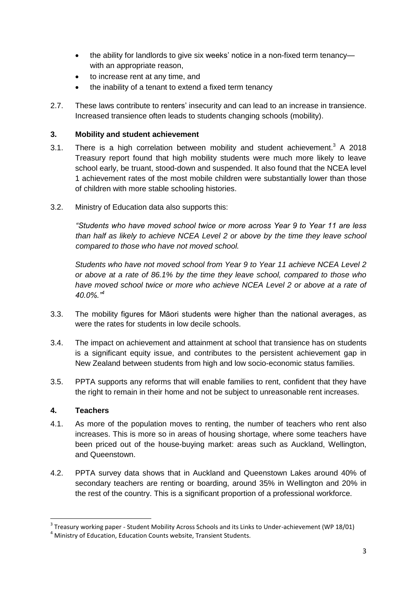- the ability for landlords to give six weeks' notice in a non-fixed term tenancy with an appropriate reason,
- to increase rent at any time, and
- the inability of a tenant to extend a fixed term tenancy
- 2.7. These laws contribute to renters' insecurity and can lead to an increase in transience. Increased transience often leads to students changing schools (mobility).

## **3. Mobility and student achievement**

- 3.1. There is a high correlation between mobility and student achievement.<sup>3</sup> A 2018 Treasury report found that high mobility students were much more likely to leave school early, be truant, stood-down and suspended. It also found that the NCEA level 1 achievement rates of the most mobile children were substantially lower than those of children with more stable schooling histories.
- 3.2. Ministry of Education data also supports this:

*"Students who have moved school twice or more across Year 9 to Year 11 are less than half as likely to achieve NCEA Level 2 or above by the time they leave school compared to those who have not moved school.*

*Students who have not moved school from Year 9 to Year 11 achieve NCEA Level 2 or above at a rate of 86.1% by the time they leave school, compared to those who*  have moved school twice or more who achieve NCEA Level 2 or above at a rate of *40.0%."<sup>4</sup>*

- 3.3. The mobility figures for Māori students were higher than the national averages, as were the rates for students in low decile schools.
- 3.4. The impact on achievement and attainment at school that transience has on students is a significant equity issue, and contributes to the persistent achievement gap in New Zealand between students from high and low socio-economic status families.
- 3.5. PPTA supports any reforms that will enable families to rent, confident that they have the right to remain in their home and not be subject to unreasonable rent increases.

## **4. Teachers**

1

- 4.1. As more of the population moves to renting, the number of teachers who rent also increases. This is more so in areas of housing shortage, where some teachers have been priced out of the house-buying market: areas such as Auckland, Wellington, and Queenstown.
- 4.2. PPTA survey data shows that in Auckland and Queenstown Lakes around 40% of secondary teachers are renting or boarding, around 35% in Wellington and 20% in the rest of the country. This is a significant proportion of a professional workforce.

<sup>&</sup>lt;sup>3</sup> Treasury working paper - Student Mobility Across Schools and its Links to Under-achievement (WP 18/01)

<sup>4</sup> Ministry of Education, Education Counts website, Transient Students.